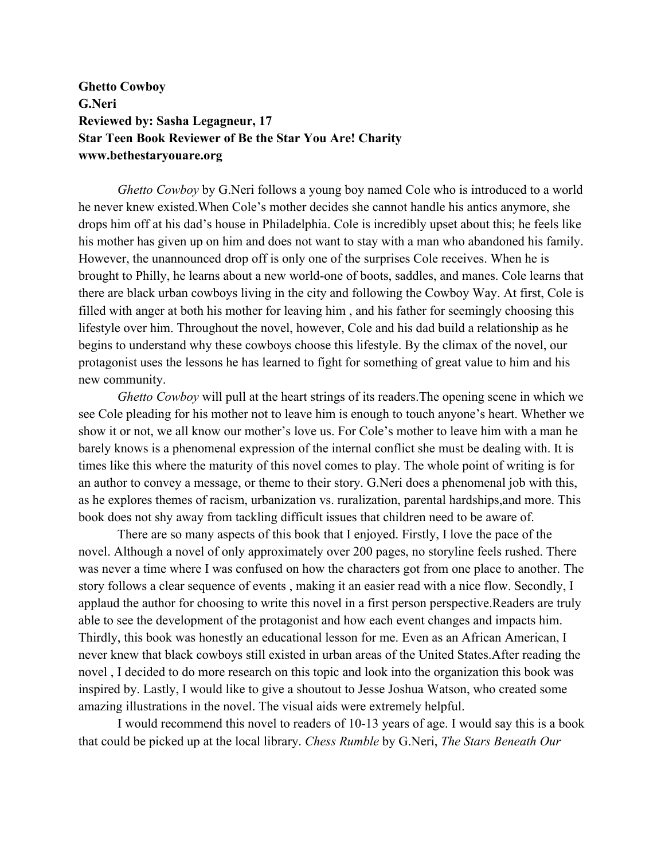**Ghetto Cowboy G.Neri Reviewed by: Sasha Legagneur, 17 Star Teen Book Reviewer of Be the Star You Are! Charity www.bethestaryouare.org**

*Ghetto Cowboy* by G.Neri follows a young boy named Cole who is introduced to a world he never knew existed.When Cole's mother decides she cannot handle his antics anymore, she drops him off at his dad's house in Philadelphia. Cole is incredibly upset about this; he feels like his mother has given up on him and does not want to stay with a man who abandoned his family. However, the unannounced drop off is only one of the surprises Cole receives. When he is brought to Philly, he learns about a new world-one of boots, saddles, and manes. Cole learns that there are black urban cowboys living in the city and following the Cowboy Way. At first, Cole is filled with anger at both his mother for leaving him , and his father for seemingly choosing this lifestyle over him. Throughout the novel, however, Cole and his dad build a relationship as he begins to understand why these cowboys choose this lifestyle. By the climax of the novel, our protagonist uses the lessons he has learned to fight for something of great value to him and his new community.

*Ghetto Cowboy* will pull at the heart strings of its readers.The opening scene in which we see Cole pleading for his mother not to leave him is enough to touch anyone's heart. Whether we show it or not, we all know our mother's love us. For Cole's mother to leave him with a man he barely knows is a phenomenal expression of the internal conflict she must be dealing with. It is times like this where the maturity of this novel comes to play. The whole point of writing is for an author to convey a message, or theme to their story. G.Neri does a phenomenal job with this, as he explores themes of racism, urbanization vs. ruralization, parental hardships,and more. This book does not shy away from tackling difficult issues that children need to be aware of.

There are so many aspects of this book that I enjoyed. Firstly, I love the pace of the novel. Although a novel of only approximately over 200 pages, no storyline feels rushed. There was never a time where I was confused on how the characters got from one place to another. The story follows a clear sequence of events , making it an easier read with a nice flow. Secondly, I applaud the author for choosing to write this novel in a first person perspective.Readers are truly able to see the development of the protagonist and how each event changes and impacts him. Thirdly, this book was honestly an educational lesson for me. Even as an African American, I never knew that black cowboys still existed in urban areas of the United States.After reading the novel , I decided to do more research on this topic and look into the organization this book was inspired by. Lastly, I would like to give a shoutout to Jesse Joshua Watson, who created some amazing illustrations in the novel. The visual aids were extremely helpful.

I would recommend this novel to readers of 10-13 years of age. I would say this is a book that could be picked up at the local library. *Chess Rumble* by G.Neri, *The Stars Beneath Our*